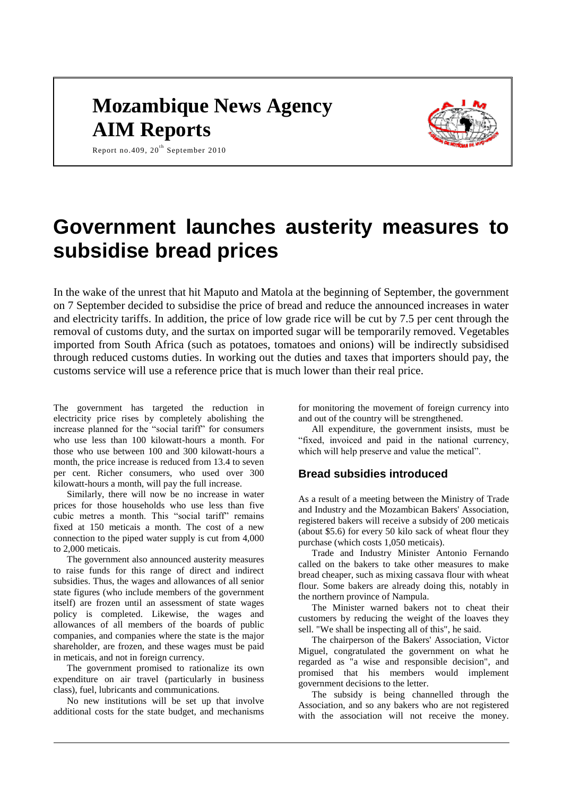# **Mozambique News Agency AIM Reports**



Report no.409,  $20^{th}$  September 2010

# **Government launches austerity measures to subsidise bread prices**

In the wake of the unrest that hit Maputo and Matola at the beginning of September, the government on 7 September decided to subsidise the price of bread and reduce the announced increases in water and electricity tariffs. In addition, the price of low grade rice will be cut by 7.5 per cent through the removal of customs duty, and the surtax on imported sugar will be temporarily removed. Vegetables imported from South Africa (such as potatoes, tomatoes and onions) will be indirectly subsidised through reduced customs duties. In working out the duties and taxes that importers should pay, the customs service will use a reference price that is much lower than their real price.

The government has targeted the reduction in electricity price rises by completely abolishing the increase planned for the "social tariff" for consumers who use less than 100 kilowatt-hours a month. For those who use between 100 and 300 kilowatt-hours a month, the price increase is reduced from 13.4 to seven per cent. Richer consumers, who used over 300 kilowatt-hours a month, will pay the full increase.

Similarly, there will now be no increase in water prices for those households who use less than five cubic metres a month. This "social tariff" remains fixed at 150 meticais a month. The cost of a new connection to the piped water supply is cut from 4,000 to 2,000 meticais.

The government also announced austerity measures to raise funds for this range of direct and indirect subsidies. Thus, the wages and allowances of all senior state figures (who include members of the government itself) are frozen until an assessment of state wages policy is completed. Likewise, the wages and allowances of all members of the boards of public companies, and companies where the state is the major shareholder, are frozen, and these wages must be paid in meticais, and not in foreign currency.

The government promised to rationalize its own expenditure on air travel (particularly in business class), fuel, lubricants and communications.

No new institutions will be set up that involve additional costs for the state budget, and mechanisms

for monitoring the movement of foreign currency into and out of the country will be strengthened.

All expenditure, the government insists, must be "fixed, invoiced and paid in the national currency, which will help preserve and value the metical".

# **Bread subsidies introduced**

As a result of a meeting between the Ministry of Trade and Industry and the Mozambican Bakers' Association, registered bakers will receive a subsidy of 200 meticais (about \$5.6) for every 50 kilo sack of wheat flour they purchase (which costs 1,050 meticais).

Trade and Industry Minister Antonio Fernando called on the bakers to take other measures to make bread cheaper, such as mixing cassava flour with wheat flour. Some bakers are already doing this, notably in the northern province of Nampula.

The Minister warned bakers not to cheat their customers by reducing the weight of the loaves they sell. "We shall be inspecting all of this", he said.

The chairperson of the Bakers' Association, Victor Miguel, congratulated the government on what he regarded as "a wise and responsible decision", and promised that his members would implement government decisions to the letter.

The subsidy is being channelled through the Association, and so any bakers who are not registered with the association will not receive the money.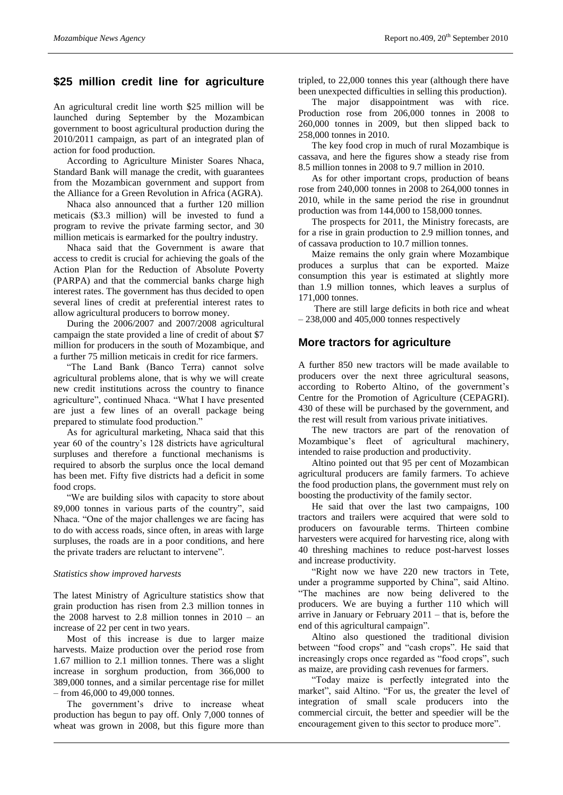## **\$25 million credit line for agriculture**

An agricultural credit line worth \$25 million will be launched during September by the Mozambican government to boost agricultural production during the 2010/2011 campaign, as part of an integrated plan of action for food production.

According to Agriculture Minister Soares Nhaca, Standard Bank will manage the credit, with guarantees from the Mozambican government and support from the Alliance for a Green Revolution in Africa (AGRA).

Nhaca also announced that a further 120 million meticais (\$3.3 million) will be invested to fund a program to revive the private farming sector, and 30 million meticais is earmarked for the poultry industry.

Nhaca said that the Government is aware that access to credit is crucial for achieving the goals of the Action Plan for the Reduction of Absolute Poverty (PARPA) and that the commercial banks charge high interest rates. The government has thus decided to open several lines of credit at preferential interest rates to allow agricultural producers to borrow money.

During the 2006/2007 and 2007/2008 agricultural campaign the state provided a line of credit of about \$7 million for producers in the south of Mozambique, and a further 75 million meticais in credit for rice farmers.

"The Land Bank (Banco Terra) cannot solve agricultural problems alone, that is why we will create new credit institutions across the country to finance agriculture", continued Nhaca. "What I have presented are just a few lines of an overall package being prepared to stimulate food production."

As for agricultural marketing, Nhaca said that this year 60 of the country's 128 districts have agricultural surpluses and therefore a functional mechanisms is required to absorb the surplus once the local demand has been met. Fifty five districts had a deficit in some food crops.

"We are building silos with capacity to store about 89,000 tonnes in various parts of the country", said Nhaca. "One of the major challenges we are facing has to do with access roads, since often, in areas with large surpluses, the roads are in a poor conditions, and here the private traders are reluctant to intervene".

#### *Statistics show improved harvests*

The latest Ministry of Agriculture statistics show that grain production has risen from 2.3 million tonnes in the 2008 harvest to 2.8 million tonnes in  $2010 - an$ increase of 22 per cent in two years.

Most of this increase is due to larger maize harvests. Maize production over the period rose from 1.67 million to 2.1 million tonnes. There was a slight increase in sorghum production, from 366,000 to 389,000 tonnes, and a similar percentage rise for millet – from 46,000 to 49,000 tonnes.

The government's drive to increase wheat production has begun to pay off. Only 7,000 tonnes of wheat was grown in 2008, but this figure more than

tripled, to 22,000 tonnes this year (although there have been unexpected difficulties in selling this production).

The major disappointment was with rice. Production rose from 206,000 tonnes in 2008 to 260,000 tonnes in 2009, but then slipped back to 258,000 tonnes in 2010.

The key food crop in much of rural Mozambique is cassava, and here the figures show a steady rise from 8.5 million tonnes in 2008 to 9.7 million in 2010.

As for other important crops, production of beans rose from 240,000 tonnes in 2008 to 264,000 tonnes in 2010, while in the same period the rise in groundnut production was from 144,000 to 158,000 tonnes.

The prospects for 2011, the Ministry forecasts, are for a rise in grain production to 2.9 million tonnes, and of cassava production to 10.7 million tonnes.

Maize remains the only grain where Mozambique produces a surplus that can be exported. Maize consumption this year is estimated at slightly more than 1.9 million tonnes, which leaves a surplus of 171,000 tonnes.

There are still large deficits in both rice and wheat – 238,000 and 405,000 tonnes respectively

#### **More tractors for agriculture**

A further 850 new tractors will be made available to producers over the next three agricultural seasons, according to Roberto Altino, of the government's Centre for the Promotion of Agriculture (CEPAGRI). 430 of these will be purchased by the government, and the rest will result from various private initiatives.

The new tractors are part of the renovation of Mozambique's fleet of agricultural machinery, intended to raise production and productivity.

Altino pointed out that 95 per cent of Mozambican agricultural producers are family farmers. To achieve the food production plans, the government must rely on boosting the productivity of the family sector.

He said that over the last two campaigns, 100 tractors and trailers were acquired that were sold to producers on favourable terms. Thirteen combine harvesters were acquired for harvesting rice, along with 40 threshing machines to reduce post-harvest losses and increase productivity.

"Right now we have 220 new tractors in Tete, under a programme supported by China", said Altino. "The machines are now being delivered to the producers. We are buying a further 110 which will arrive in January or February 2011 – that is, before the end of this agricultural campaign".

Altino also questioned the traditional division between "food crops" and "cash crops". He said that increasingly crops once regarded as "food crops", such as maize, are providing cash revenues for farmers.

"Today maize is perfectly integrated into the market", said Altino. "For us, the greater the level of integration of small scale producers into the commercial circuit, the better and speedier will be the encouragement given to this sector to produce more".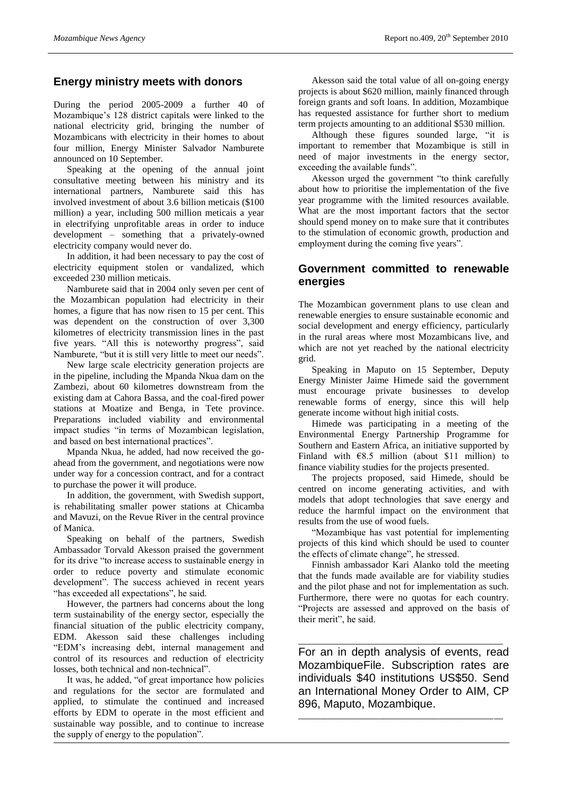### **Energy ministry meets with donors**

During the period 2005-2009 a further 40 of Mozambique's 128 district capitals were linked to the national electricity grid, bringing the number of Mozambicans with electricity in their homes to about four million, Energy Minister Salvador Namburete announced on 10 September.

Speaking at the opening of the annual joint consultative meeting between his ministry and its international partners, Namburete said this has involved investment of about 3.6 billion meticais (\$100 million) a year, including 500 million meticais a year in electrifying unprofitable areas in order to induce development – something that a privately-owned electricity company would never do.

In addition, it had been necessary to pay the cost of electricity equipment stolen or vandalized, which exceeded 230 million meticais.

Namburete said that in 2004 only seven per cent of the Mozambican population had electricity in their homes, a figure that has now risen to 15 per cent. This was dependent on the construction of over 3,300 kilometres of electricity transmission lines in the past five years. "All this is noteworthy progress", said Namburete, "but it is still very little to meet our needs".

New large scale electricity generation projects are in the pipeline, including the Mpanda Nkua dam on the Zambezi, about 60 kilometres downstream from the existing dam at Cahora Bassa, and the coal-fired power stations at Moatize and Benga, in Tete province. Preparations included viability and environmental impact studies "in terms of Mozambican legislation, and based on best international practices".

Mpanda Nkua, he added, had now received the goahead from the government, and negotiations were now under way for a concession contract, and for a contract to purchase the power it will produce.

In addition, the government, with Swedish support, is rehabilitating smaller power stations at Chicamba and Mavuzi, on the Revue River in the central province of Manica.

Speaking on behalf of the partners, Swedish Ambassador Torvald Akesson praised the government for its drive "to increase access to sustainable energy in order to reduce poverty and stimulate economic development". The success achieved in recent years "has exceeded all expectations", he said.

However, the partners had concerns about the long term sustainability of the energy sector, especially the financial situation of the public electricity company, EDM. Akesson said these challenges including "EDM's increasing debt, internal management and control of its resources and reduction of electricity losses, both technical and non-technical".

It was, he added, "of great importance how policies and regulations for the sector are formulated and applied, to stimulate the continued and increased efforts by EDM to operate in the most efficient and sustainable way possible, and to continue to increase the supply of energy to the population".

Akesson said the total value of all on-going energy projects is about \$620 million, mainly financed through foreign grants and soft loans. In addition, Mozambique has requested assistance for further short to medium term projects amounting to an additional \$530 million.

Although these figures sounded large, "it is important to remember that Mozambique is still in need of major investments in the energy sector, exceeding the available funds".

Akesson urged the government "to think carefully about how to prioritise the implementation of the five year programme with the limited resources available. What are the most important factors that the sector should spend money on to make sure that it contributes to the stimulation of economic growth, production and employment during the coming five years".

### **Government committed to renewable energies**

The Mozambican government plans to use clean and renewable energies to ensure sustainable economic and social development and energy efficiency, particularly in the rural areas where most Mozambicans live, and which are not yet reached by the national electricity grid.

Speaking in Maputo on 15 September, Deputy Energy Minister Jaime Himede said the government must encourage private businesses to develop renewable forms of energy, since this will help generate income without high initial costs.

Himede was participating in a meeting of the Environmental Energy Partnership Programme for Southern and Eastern Africa, an initiative supported by Finland with  $€8.5$  million (about \$11 million) to finance viability studies for the projects presented.

The projects proposed, said Himede, should be centred on income generating activities, and with models that adopt technologies that save energy and reduce the harmful impact on the environment that results from the use of wood fuels.

"Mozambique has vast potential for implementing projects of this kind which should be used to counter the effects of climate change", he stressed.

Finnish ambassador Kari Alanko told the meeting that the funds made available are for viability studies and the pilot phase and not for implementation as such. Furthermore, there were no quotas for each country. "Projects are assessed and approved on the basis of their merit", he said.

For an in depth analysis of events, read MozambiqueFile. Subscription rates are individuals \$40 institutions US\$50. Send an International Money Order to AIM, CP 896, Maputo, Mozambique.

\_\_\_\_\_\_\_\_\_\_\_\_\_\_\_\_\_\_\_\_\_\_\_\_\_\_\_\_\_\_\_\_\_\_\_\_\_\_\_\_\_\_\_\_\_\_\_\_\_\_\_\_\_\_\_\_\_\_\_\_\_\_\_\_\_

\_\_\_\_\_\_\_\_\_\_\_\_\_\_\_\_\_\_\_\_\_\_\_\_\_\_\_\_\_\_\_\_\_\_\_\_\_\_\_\_\_\_\_\_\_\_\_\_\_\_\_\_\_\_\_\_\_\_\_\_\_\_\_\_\_